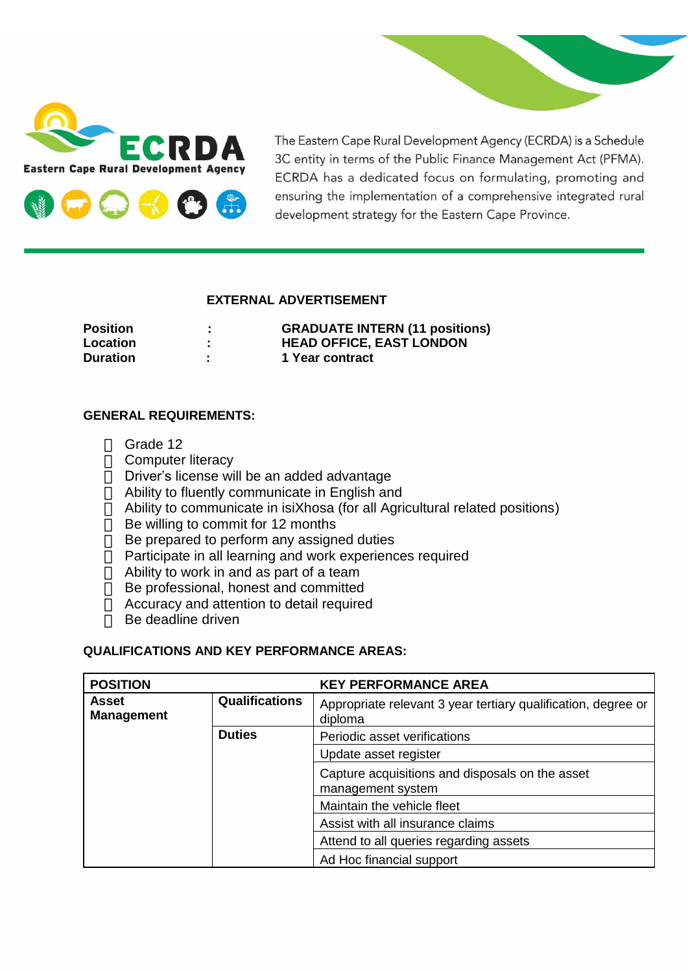



The Eastern Cape Rural Development Agency (ECRDA) is a Schedule 3C entity in terms of the Public Finance Management Act (PFMA). ECRDA has a dedicated focus on formulating, promoting and ensuring the implementation of a comprehensive integrated rural development strategy for the Eastern Cape Province.

## **EXTERNAL ADVERTISEMENT**

| <b>Position</b> |                                           | <b>GRADUATE INTERN (11 positions)</b> |
|-----------------|-------------------------------------------|---------------------------------------|
| Location        | $\blacksquare$                            | <b>HEAD OFFICE, EAST LONDON</b>       |
| <b>Duration</b> | $\mathbf{r}$<br><b><i><u>ALCO</u></i></b> | 1 Year contract                       |

## **GENERAL REQUIREMENTS:**

- Grade 12
- $\Box$  Computer literacy
- $\Box$  Driver's license will be an added advantage
- $\overline{a}$  Ability to fluently communicate in English and
- Ability to communicate in isiXhosa (for all Agricultural related positions)
- $\Box$  Be willing to commit for 12 months
- $\Box$  Be prepared to perform any assigned duties
- $\bar{\Box}$  Participate in all learning and work experiences required
- $\Box$  Ability to work in and as part of a team
- Be professional, honest and committed
- $\Box$  Accuracy and attention to detail required
- $\Box$  Be deadline driven

## **QUALIFICATIONS AND KEY PERFORMANCE AREAS:**

| <b>POSITION</b>            |                       | <b>KEY PERFORMANCE AREA</b>                                              |
|----------------------------|-----------------------|--------------------------------------------------------------------------|
| Asset<br><b>Management</b> | <b>Qualifications</b> | Appropriate relevant 3 year tertiary qualification, degree or<br>diploma |
|                            | <b>Duties</b>         | Periodic asset verifications                                             |
|                            |                       | Update asset register                                                    |
|                            |                       | Capture acquisitions and disposals on the asset<br>management system     |
|                            |                       | Maintain the vehicle fleet                                               |
|                            |                       | Assist with all insurance claims                                         |
|                            |                       | Attend to all queries regarding assets                                   |
|                            |                       | Ad Hoc financial support                                                 |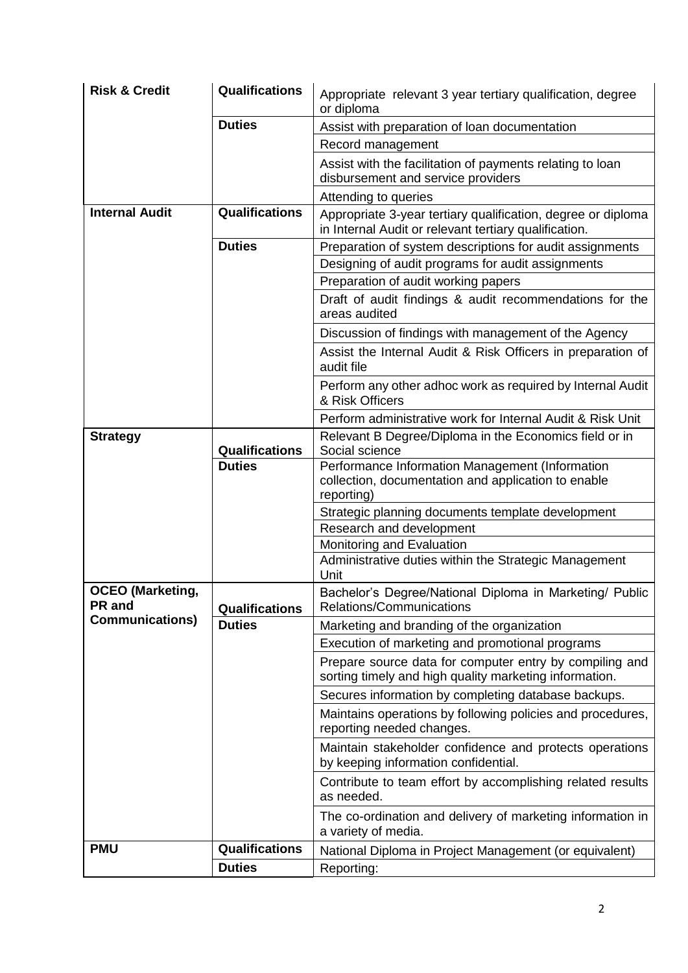| <b>Risk &amp; Credit</b>          | Qualifications        | Appropriate relevant 3 year tertiary qualification, degree<br>or diploma                                              |  |
|-----------------------------------|-----------------------|-----------------------------------------------------------------------------------------------------------------------|--|
|                                   | <b>Duties</b>         | Assist with preparation of loan documentation                                                                         |  |
|                                   |                       | Record management                                                                                                     |  |
|                                   |                       | Assist with the facilitation of payments relating to loan<br>disbursement and service providers                       |  |
|                                   |                       | Attending to queries                                                                                                  |  |
| <b>Internal Audit</b>             | <b>Qualifications</b> | Appropriate 3-year tertiary qualification, degree or diploma<br>in Internal Audit or relevant tertiary qualification. |  |
|                                   | <b>Duties</b>         | Preparation of system descriptions for audit assignments                                                              |  |
|                                   |                       | Designing of audit programs for audit assignments                                                                     |  |
|                                   |                       | Preparation of audit working papers                                                                                   |  |
|                                   |                       | Draft of audit findings & audit recommendations for the<br>areas audited                                              |  |
|                                   |                       | Discussion of findings with management of the Agency                                                                  |  |
|                                   |                       | Assist the Internal Audit & Risk Officers in preparation of<br>audit file                                             |  |
|                                   |                       | Perform any other adhoc work as required by Internal Audit<br>& Risk Officers                                         |  |
|                                   |                       | Perform administrative work for Internal Audit & Risk Unit                                                            |  |
| <b>Strategy</b>                   | Qualifications        | Relevant B Degree/Diploma in the Economics field or in<br>Social science                                              |  |
|                                   | <b>Duties</b>         | Performance Information Management (Information<br>collection, documentation and application to enable<br>reporting)  |  |
|                                   |                       | Strategic planning documents template development                                                                     |  |
|                                   |                       | Research and development                                                                                              |  |
|                                   |                       | Monitoring and Evaluation                                                                                             |  |
|                                   |                       | Administrative duties within the Strategic Management<br>Unit                                                         |  |
| <b>OCEO</b> (Marketing,<br>PR and | Qualifications        | Bachelor's Degree/National Diploma in Marketing/ Public<br>Relations/Communications                                   |  |
| <b>Communications)</b>            | <b>Duties</b>         | Marketing and branding of the organization                                                                            |  |
|                                   |                       | Execution of marketing and promotional programs                                                                       |  |
|                                   |                       | Prepare source data for computer entry by compiling and<br>sorting timely and high quality marketing information.     |  |
|                                   |                       | Secures information by completing database backups.                                                                   |  |
|                                   |                       | Maintains operations by following policies and procedures,<br>reporting needed changes.                               |  |
|                                   |                       | Maintain stakeholder confidence and protects operations<br>by keeping information confidential.                       |  |
|                                   |                       | Contribute to team effort by accomplishing related results<br>as needed.                                              |  |
|                                   |                       | The co-ordination and delivery of marketing information in<br>a variety of media.                                     |  |
| <b>PMU</b>                        | <b>Qualifications</b> | National Diploma in Project Management (or equivalent)                                                                |  |
|                                   | <b>Duties</b>         | Reporting:                                                                                                            |  |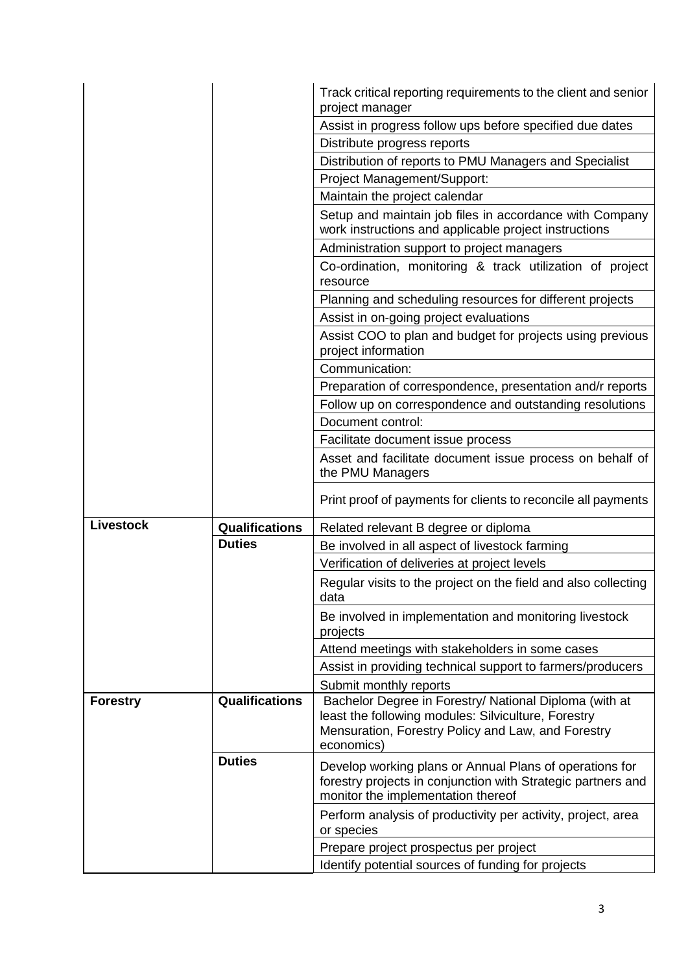|                  |                       | Track critical reporting requirements to the client and senior<br>project manager                                                                                                 |  |
|------------------|-----------------------|-----------------------------------------------------------------------------------------------------------------------------------------------------------------------------------|--|
|                  |                       | Assist in progress follow ups before specified due dates                                                                                                                          |  |
|                  |                       | Distribute progress reports                                                                                                                                                       |  |
|                  |                       | Distribution of reports to PMU Managers and Specialist                                                                                                                            |  |
|                  |                       | Project Management/Support:                                                                                                                                                       |  |
|                  |                       | Maintain the project calendar                                                                                                                                                     |  |
|                  |                       | Setup and maintain job files in accordance with Company                                                                                                                           |  |
|                  |                       | work instructions and applicable project instructions                                                                                                                             |  |
|                  |                       | Administration support to project managers                                                                                                                                        |  |
|                  |                       | Co-ordination, monitoring & track utilization of project<br>resource                                                                                                              |  |
|                  |                       | Planning and scheduling resources for different projects                                                                                                                          |  |
|                  |                       | Assist in on-going project evaluations                                                                                                                                            |  |
|                  |                       | Assist COO to plan and budget for projects using previous<br>project information                                                                                                  |  |
|                  |                       | Communication:                                                                                                                                                                    |  |
|                  |                       | Preparation of correspondence, presentation and/r reports                                                                                                                         |  |
|                  |                       | Follow up on correspondence and outstanding resolutions                                                                                                                           |  |
|                  |                       | Document control:                                                                                                                                                                 |  |
|                  |                       | Facilitate document issue process                                                                                                                                                 |  |
|                  |                       | Asset and facilitate document issue process on behalf of<br>the PMU Managers                                                                                                      |  |
|                  |                       | Print proof of payments for clients to reconcile all payments                                                                                                                     |  |
| <b>Livestock</b> | <b>Qualifications</b> | Related relevant B degree or diploma                                                                                                                                              |  |
|                  | <b>Duties</b>         | Be involved in all aspect of livestock farming                                                                                                                                    |  |
|                  |                       | Verification of deliveries at project levels                                                                                                                                      |  |
|                  |                       | Regular visits to the project on the field and also collecting<br>data                                                                                                            |  |
|                  |                       | Be involved in implementation and monitoring livestock<br>projects                                                                                                                |  |
|                  |                       | Attend meetings with stakeholders in some cases                                                                                                                                   |  |
|                  |                       | Assist in providing technical support to farmers/producers                                                                                                                        |  |
|                  |                       | Submit monthly reports                                                                                                                                                            |  |
| <b>Forestry</b>  | <b>Qualifications</b> | Bachelor Degree in Forestry/ National Diploma (with at<br>least the following modules: Silviculture, Forestry<br>Mensuration, Forestry Policy and Law, and Forestry<br>economics) |  |
|                  | <b>Duties</b>         | Develop working plans or Annual Plans of operations for<br>forestry projects in conjunction with Strategic partners and<br>monitor the implementation thereof                     |  |
|                  |                       | Perform analysis of productivity per activity, project, area<br>or species                                                                                                        |  |
|                  |                       | Prepare project prospectus per project                                                                                                                                            |  |
|                  |                       | Identify potential sources of funding for projects                                                                                                                                |  |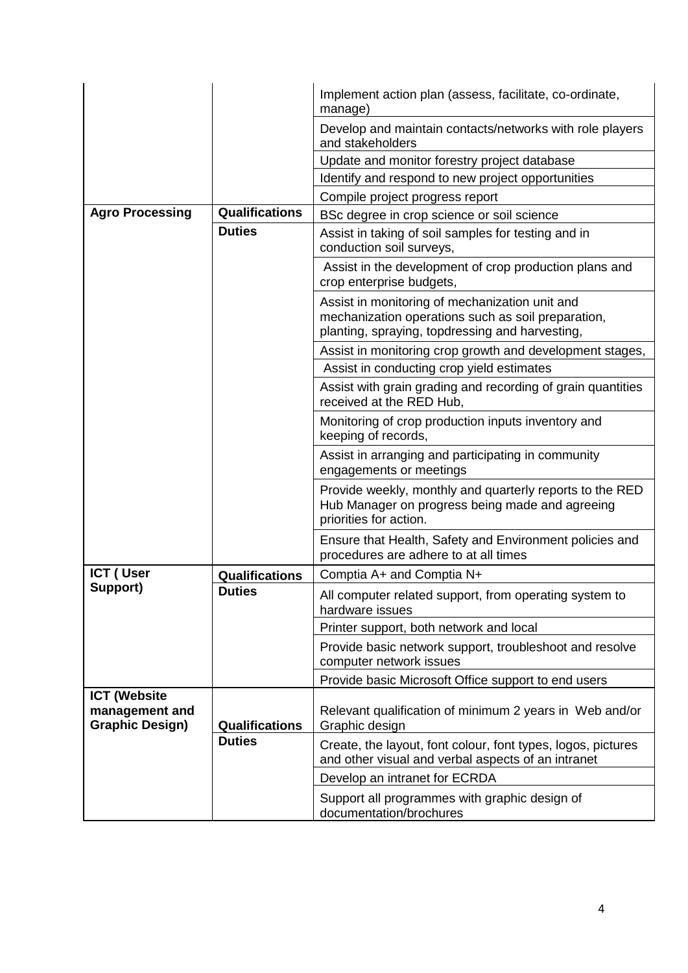|                                          |                       | Implement action plan (assess, facilitate, co-ordinate,<br>manage)                                                                                      |
|------------------------------------------|-----------------------|---------------------------------------------------------------------------------------------------------------------------------------------------------|
|                                          |                       | Develop and maintain contacts/networks with role players<br>and stakeholders                                                                            |
|                                          |                       | Update and monitor forestry project database                                                                                                            |
|                                          |                       | Identify and respond to new project opportunities                                                                                                       |
|                                          |                       | Compile project progress report                                                                                                                         |
| <b>Agro Processing</b>                   | <b>Qualifications</b> | BSc degree in crop science or soil science                                                                                                              |
|                                          | <b>Duties</b>         | Assist in taking of soil samples for testing and in<br>conduction soil surveys,                                                                         |
|                                          |                       | Assist in the development of crop production plans and<br>crop enterprise budgets,                                                                      |
|                                          |                       | Assist in monitoring of mechanization unit and<br>mechanization operations such as soil preparation,<br>planting, spraying, topdressing and harvesting, |
|                                          |                       | Assist in monitoring crop growth and development stages,                                                                                                |
|                                          |                       | Assist in conducting crop yield estimates                                                                                                               |
|                                          |                       | Assist with grain grading and recording of grain quantities<br>received at the RED Hub,                                                                 |
|                                          |                       | Monitoring of crop production inputs inventory and<br>keeping of records,                                                                               |
|                                          |                       | Assist in arranging and participating in community<br>engagements or meetings                                                                           |
|                                          |                       | Provide weekly, monthly and quarterly reports to the RED<br>Hub Manager on progress being made and agreeing<br>priorities for action.                   |
|                                          |                       | Ensure that Health, Safety and Environment policies and<br>procedures are adhere to at all times                                                        |
| ICT (User                                | <b>Qualifications</b> | Comptia A+ and Comptia N+                                                                                                                               |
| Support)                                 | <b>Duties</b>         | All computer related support, from operating system to<br>hardware issues                                                                               |
|                                          |                       | Printer support, both network and local                                                                                                                 |
|                                          |                       | Provide basic network support, troubleshoot and resolve<br>computer network issues                                                                      |
|                                          |                       | Provide basic Microsoft Office support to end users                                                                                                     |
| <b>ICT (Website</b>                      |                       |                                                                                                                                                         |
| management and<br><b>Graphic Design)</b> | <b>Qualifications</b> | Relevant qualification of minimum 2 years in Web and/or<br>Graphic design                                                                               |
|                                          | <b>Duties</b>         | Create, the layout, font colour, font types, logos, pictures<br>and other visual and verbal aspects of an intranet                                      |
|                                          |                       | Develop an intranet for ECRDA                                                                                                                           |
|                                          |                       | Support all programmes with graphic design of<br>documentation/brochures                                                                                |